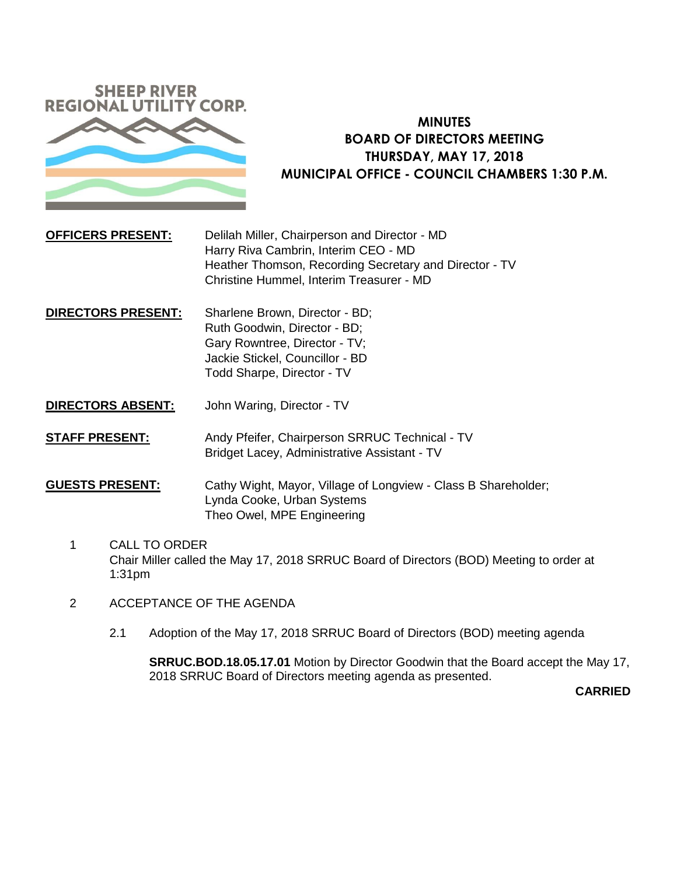

# **MINUTES BOARD OF DIRECTORS MEETING THURSDAY, MAY 17, 2018 MUNICIPAL OFFICE - COUNCIL CHAMBERS 1:30 P.M.**

- **OFFICERS PRESENT:** Delilah Miller, Chairperson and Director MD Harry Riva Cambrin, Interim CEO - MD Heather Thomson, Recording Secretary and Director - TV Christine Hummel, Interim Treasurer - MD
- **DIRECTORS PRESENT:** Sharlene Brown, Director BD; Ruth Goodwin, Director - BD; Gary Rowntree, Director - TV; Jackie Stickel, Councillor - BD Todd Sharpe, Director - TV
- **DIRECTORS ABSENT:** John Waring, Director TV
- **STAFF PRESENT:** Andy Pfeifer, Chairperson SRRUC Technical TV Bridget Lacey, Administrative Assistant - TV
- **GUESTS PRESENT:** Cathy Wight, Mayor, Village of Longview Class B Shareholder; Lynda Cooke, Urban Systems Theo Owel, MPE Engineering
	- 1 CALL TO ORDER Chair Miller called the May 17, 2018 SRRUC Board of Directors (BOD) Meeting to order at 1:31pm
	- 2 ACCEPTANCE OF THE AGENDA
		- 2.1 Adoption of the May 17, 2018 SRRUC Board of Directors (BOD) meeting agenda

**SRRUC.BOD.18.05.17.01** Motion by Director Goodwin that the Board accept the May 17, 2018 SRRUC Board of Directors meeting agenda as presented.

**CARRIED**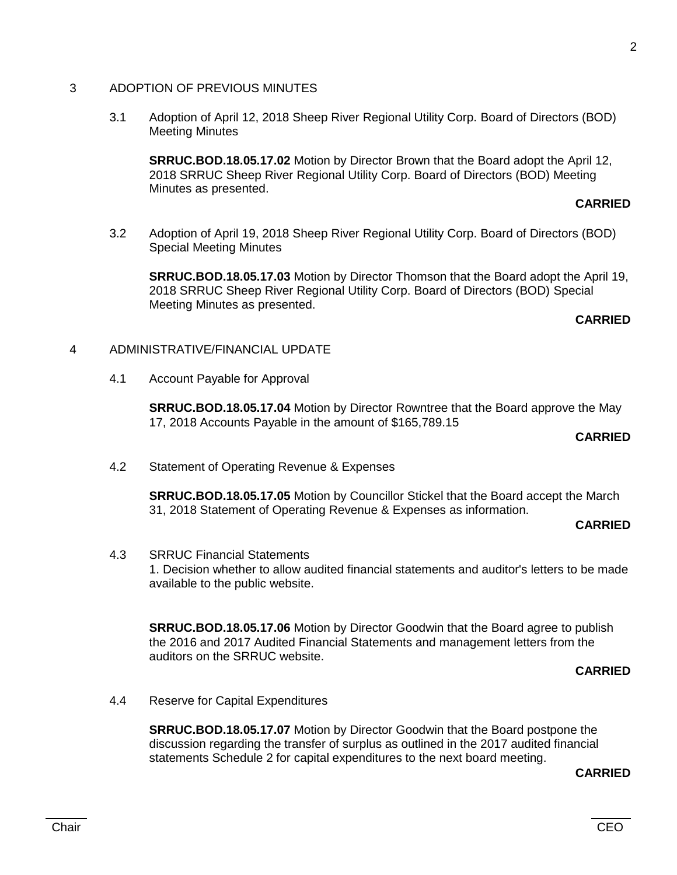#### 3 ADOPTION OF PREVIOUS MINUTES

3.1 Adoption of April 12, 2018 Sheep River Regional Utility Corp. Board of Directors (BOD) Meeting Minutes

**SRRUC.BOD.18.05.17.02** Motion by Director Brown that the Board adopt the April 12, 2018 SRRUC Sheep River Regional Utility Corp. Board of Directors (BOD) Meeting Minutes as presented.

#### **CARRIED**

3.2 Adoption of April 19, 2018 Sheep River Regional Utility Corp. Board of Directors (BOD) Special Meeting Minutes

**SRRUC.BOD.18.05.17.03** Motion by Director Thomson that the Board adopt the April 19, 2018 SRRUC Sheep River Regional Utility Corp. Board of Directors (BOD) Special Meeting Minutes as presented.

#### **CARRIED**

#### 4 ADMINISTRATIVE/FINANCIAL UPDATE

4.1 Account Payable for Approval

**SRRUC.BOD.18.05.17.04** Motion by Director Rowntree that the Board approve the May 17, 2018 Accounts Payable in the amount of \$165,789.15

#### **CARRIED**

4.2 Statement of Operating Revenue & Expenses

**SRRUC.BOD.18.05.17.05** Motion by Councillor Stickel that the Board accept the March 31, 2018 Statement of Operating Revenue & Expenses as information.

#### **CARRIED**

4.3 SRRUC Financial Statements

1. Decision whether to allow audited financial statements and auditor's letters to be made available to the public website.

**SRRUC.BOD.18.05.17.06** Motion by Director Goodwin that the Board agree to publish the 2016 and 2017 Audited Financial Statements and management letters from the auditors on the SRRUC website.

**CARRIED**

4.4 Reserve for Capital Expenditures

**SRRUC.BOD.18.05.17.07** Motion by Director Goodwin that the Board postpone the discussion regarding the transfer of surplus as outlined in the 2017 audited financial statements Schedule 2 for capital expenditures to the next board meeting.

## **CARRIED**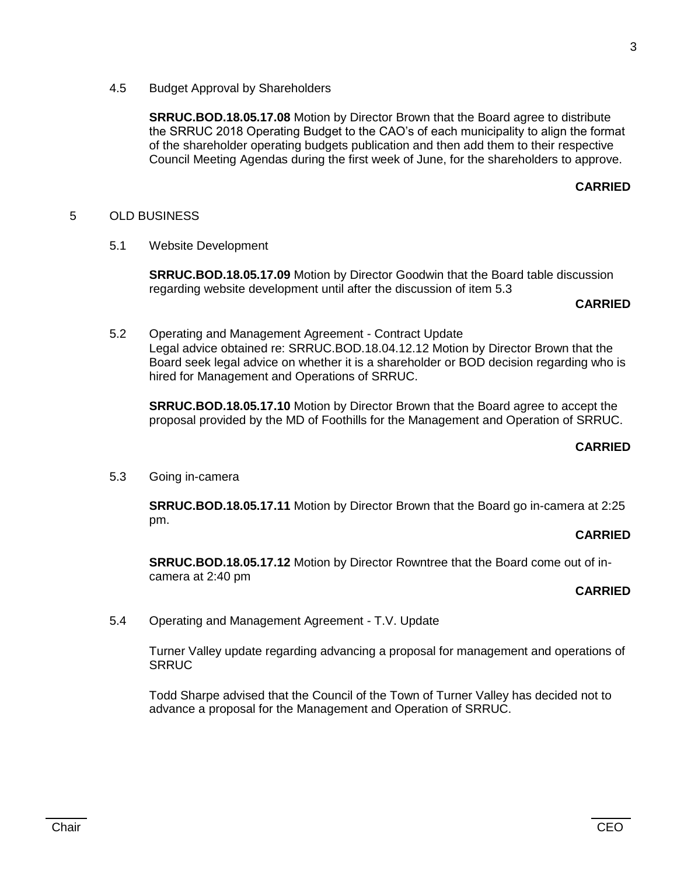4.5 Budget Approval by Shareholders

**SRRUC.BOD.18.05.17.08** Motion by Director Brown that the Board agree to distribute the SRRUC 2018 Operating Budget to the CAO's of each municipality to align the format of the shareholder operating budgets publication and then add them to their respective Council Meeting Agendas during the first week of June, for the shareholders to approve.

## **CARRIED**

## 5 OLD BUSINESS

5.1 Website Development

**SRRUC.BOD.18.05.17.09** Motion by Director Goodwin that the Board table discussion regarding website development until after the discussion of item 5.3

#### **CARRIED**

5.2 Operating and Management Agreement - Contract Update Legal advice obtained re: SRRUC.BOD.18.04.12.12 Motion by Director Brown that the Board seek legal advice on whether it is a shareholder or BOD decision regarding who is hired for Management and Operations of SRRUC.

**SRRUC.BOD.18.05.17.10** Motion by Director Brown that the Board agree to accept the proposal provided by the MD of Foothills for the Management and Operation of SRRUC.

#### **CARRIED**

5.3 Going in-camera

**SRRUC.BOD.18.05.17.11** Motion by Director Brown that the Board go in-camera at 2:25 pm.

### **CARRIED**

**SRRUC.BOD.18.05.17.12** Motion by Director Rowntree that the Board come out of incamera at 2:40 pm

## **CARRIED**

5.4 Operating and Management Agreement - T.V. Update

Turner Valley update regarding advancing a proposal for management and operations of **SRRUC** 

Todd Sharpe advised that the Council of the Town of Turner Valley has decided not to advance a proposal for the Management and Operation of SRRUC.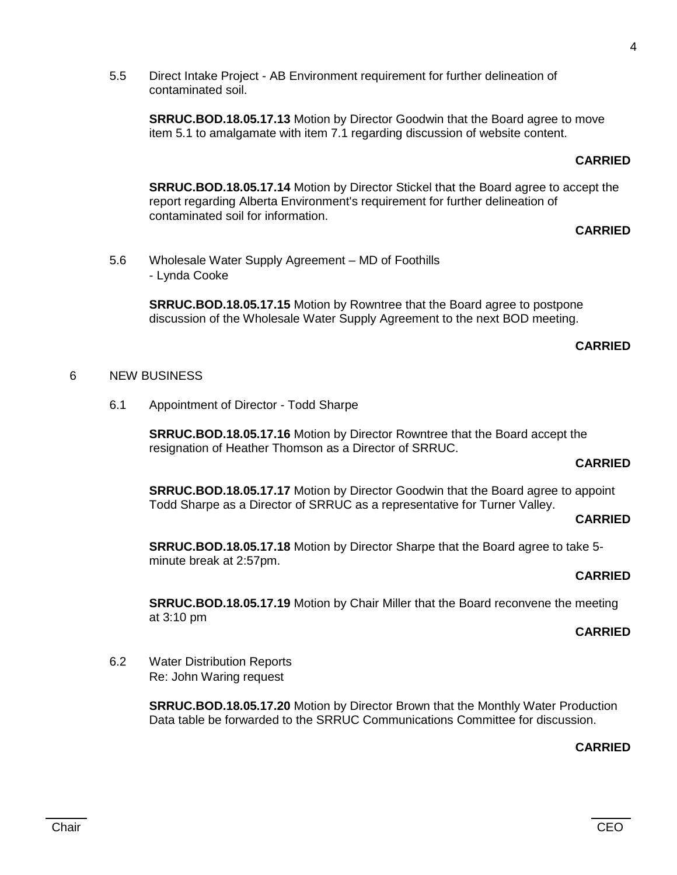5.5 Direct Intake Project - AB Environment requirement for further delineation of contaminated soil.

**SRRUC.BOD.18.05.17.13** Motion by Director Goodwin that the Board agree to move item 5.1 to amalgamate with item 7.1 regarding discussion of website content.

#### **CARRIED**

**SRRUC.BOD.18.05.17.14** Motion by Director Stickel that the Board agree to accept the report regarding Alberta Environment's requirement for further delineation of contaminated soil for information.

## **CARRIED**

5.6 Wholesale Water Supply Agreement – MD of Foothills - Lynda Cooke

> **SRRUC.BOD.18.05.17.15** Motion by Rowntree that the Board agree to postpone discussion of the Wholesale Water Supply Agreement to the next BOD meeting.

#### **CARRIED**

#### 6 NEW BUSINESS

6.1 Appointment of Director - Todd Sharpe

**SRRUC.BOD.18.05.17.16** Motion by Director Rowntree that the Board accept the resignation of Heather Thomson as a Director of SRRUC.

## **CARRIED**

**SRRUC.BOD.18.05.17.17** Motion by Director Goodwin that the Board agree to appoint Todd Sharpe as a Director of SRRUC as a representative for Turner Valley.

#### **CARRIED**

**SRRUC.BOD.18.05.17.18** Motion by Director Sharpe that the Board agree to take 5 minute break at 2:57pm.

#### **CARRIED**

**SRRUC.BOD.18.05.17.19** Motion by Chair Miller that the Board reconvene the meeting at 3:10 pm

## **CARRIED**

6.2 Water Distribution Reports Re: John Waring request

> **SRRUC.BOD.18.05.17.20** Motion by Director Brown that the Monthly Water Production Data table be forwarded to the SRRUC Communications Committee for discussion.

#### **CARRIED**